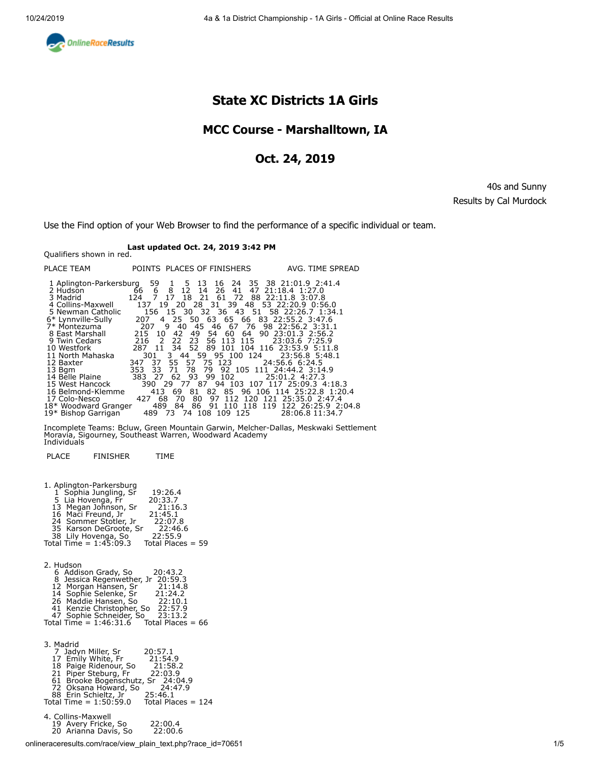<span id="page-0-0"></span>

# **State XC Districts 1A Girls**

### **MCC Course - Marshalltown, IA**

### **Oct. 24, 2019**

40s and Sunny Results by Cal Murdock

Use the Find option of your Web Browser to find the performance of a specific individual or team.

# **Last updated Oct. 24, 2019 3:42 PM** Qualifiers shown in red.

| PLACE TEAM                                                                                           |                               |                     | POINTS PLACES OF FINISHERS | AVG. TIME SPREAD                                                                                                                                                                                                                                                                             |
|------------------------------------------------------------------------------------------------------|-------------------------------|---------------------|----------------------------|----------------------------------------------------------------------------------------------------------------------------------------------------------------------------------------------------------------------------------------------------------------------------------------------|
| 2 Hudson<br>3 Madrid<br>4 Collins-Maxwell<br>5 Newman Catholic<br>6* Lynnville-Sully<br>7* Montezuma | 66<br>$6\overline{6}$<br>2079 | 8 12 14<br>- 40     | 26 41                      | 1 Aplington-Parkersburg 59 1 5 13 16 24 35 38 21:01.9 2:41.4<br>47 21:18.4 1:27.0<br>124 7 17 18 21 61 72 88 22:11.8 3:07.8<br>137 19 20 28 31 39 48 53 22:20.9 0:56.0<br>156 15 30 32 36 43 51 58 22:26.7 1:34.1<br>207 4 25 50 63 65 66 83 22:55.2 3:47.6<br>45 46 67 76 98 22:56.2 3:31.1 |
| 8 East Marshall<br>9 Twin Cedars                                                                     | 215 10<br>216 2               | 42<br>22 23         |                            | 49 54 60 64 90 23:01.3 2:56.2<br>56 113 115 23:03.6 7:25.9                                                                                                                                                                                                                                   |
| 10 Westfork<br>11 North Mahaska                                                                      | 301                           |                     |                            | 287 11 34 52 89 101 104 116 23:53.9 5:11.8<br>3 44 59 95 100 124 23:56.8 5:48.1                                                                                                                                                                                                              |
| 12 Baxter<br>13 Bgm<br>14 Belle Plaine                                                               | 353 33                        | - 71                | 383 27 62 93 99 102        | 347 37 55 57 75 123 24:56.6 6:24.5<br>78 79 92 105 111 24:44.2 3:14.9<br>25:01.2 4:27.3                                                                                                                                                                                                      |
| 15 West Hancock                                                                                      |                               |                     |                            | 390 29 77 87 94 103 107 117 25:09.3 4:18.3<br>82 85 96 106 114 25:22.8 1:20.4                                                                                                                                                                                                                |
| 16 Belmond-Klemme<br>17 Colo-Nesco                                                                   | 427 68                        | 413 69<br>81<br>-70 |                            | 80 97 112 120 121 25:35.0 2:47.4                                                                                                                                                                                                                                                             |
| $10*$ Dichan Carrigan                                                                                |                               |                     |                            | 18* Woodward Granger 489 84 86 91 110 118 119 122 26:25.9 2:04.8<br>490 72 74 109 100 12E 29.06.9.11.24.7                                                                                                                                                                                    |

19\* Bishop Garrigan 489 73 74 108 109 125 28:06.8 11:34.7

Incomplete Teams: Bcluw, Green Mountain Garwin, Melcher-Dallas, Meskwaki Settlement Moravia, Sigourney, Southeast Warren, Woodward Academy [Individuals](#page-2-0)

PLACE FINISHER TIME

| 1. Aplington-Parkersburg<br>1 Sophia Jungling, Sr<br>19:26.4<br>5 Lia Hovenga, Fr<br>20:33.7<br>13 Megan Johnson, Sr<br>16 Maci Freund, Jr<br>24 Sommer Stotler, Jr<br>35 Karson DeGroote, Sr<br>21:16.3<br>21:45.1<br>22:07.8<br>22:46.6<br>22:55.9<br>38 Lily Hovenga, So<br>Total Time = $1:45:09.3$<br>Total Places $= 59$ |
|--------------------------------------------------------------------------------------------------------------------------------------------------------------------------------------------------------------------------------------------------------------------------------------------------------------------------------|
| 2. Hudson<br>6 Addison Grady, So<br>20:43.2<br>8 Jessica Regenwether, Jr 20:59.3<br>12 Morgan Hansen, Sr<br>14 Sophie Selenke, Sr<br>26 Maddie Hansen, So<br>41 Kenzie Christopher, So<br>21:14.8<br>21:24.2<br>22:10.1<br>22:57.9<br>47 Sophie Schneider, So<br>23:13.2<br>Total Time = $1:46:31.6$<br>Total Places = $66$    |
| 3. Madrid<br>7 Jadyn Miller, Sr<br>20:57.1<br>17 Emily White, Fr<br>21:54.9<br>18 Paige Ridenour, So 21:58.2<br>21 Piper Steburg, Fr 22:03.9<br>61 Brooke Bogenschutz, Sr 24:04.9<br>72 Oksana Howard, So 24:47.9<br>88 Erin Schieltz, Jr 25:46.1<br>Total Time = $1:50:59.0$<br>Total Places = 124                            |
| 4. Collins-Maxwell<br>19 Avery Fricke, So<br>22:00.4<br>20 Arianna Davis, So<br>22:00.6                                                                                                                                                                                                                                        |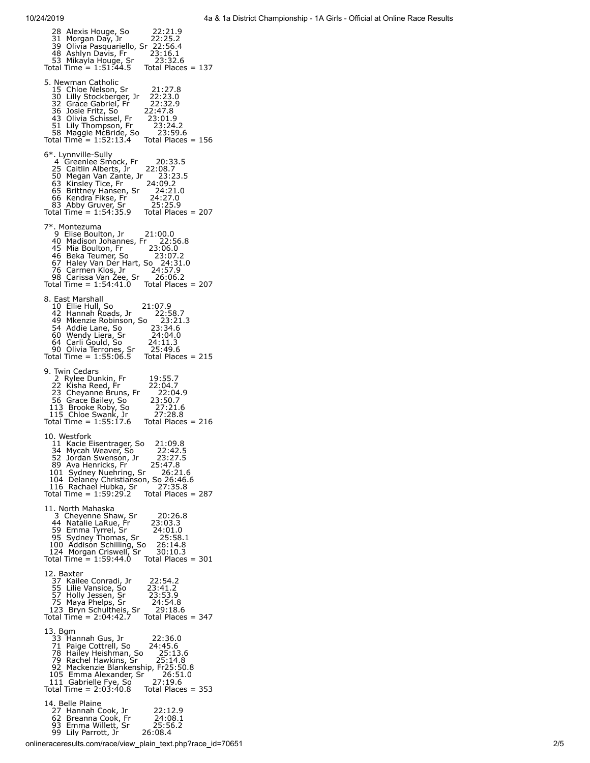| 28 Alexis Houge, So<br>22:21.9<br>22:25.2<br>39 Olivia Pasquariello, Sr 22:25.2<br>48 Ashlyn Davis, Fr 23:16.1<br>53 Mikayla Houge, Sr 23:32.6<br>Total Time = 1:51:44.5 Total Place<br>23:32.6<br>Total Places $= 137$                                                                                                                             |
|-----------------------------------------------------------------------------------------------------------------------------------------------------------------------------------------------------------------------------------------------------------------------------------------------------------------------------------------------------|
| 5. Newman Catholic<br>15 Chloe Nelson, Sr<br>21:27.8<br>30 Lilly Stockberger, Jr<br>22:23.0<br>22:32.9<br>32 Grace Gabriel, Fr<br>36 Josie Fritz, So<br>22:47.8<br>43 Olivia Schissel, Fr<br>51 Lily Thompson, Fr<br>23:01.9<br>23:24.2<br>58 Maggie McBride, So<br>23:59.6<br>Total Time = 1:52:13.4<br>Total Places = $156$                       |
| 6*. Lynnville-Sully<br>4 Greenlee Smock, Fr<br>20:33.5<br>4 divenier Simon, 11<br>25 Caitlin Alberts, Jr.<br>50 Megan Van Zante, Jr.<br>63 Kinsley Tice, Fr.<br>66 Kendra Fikse, Fr.<br>83 Abby Gruver, Sr.<br>11 Time – 1.54.35 o<br>22:08.7<br>23:23.5<br>24:09.2<br>24:21.0<br>24:27.0<br>25:25.9<br>Total Time = $1:54:35.9$ Total Places = 207 |
| 7*. Montezuma<br>9 Elise Boulton, Jr<br>21:00.0<br>40 Madison Johannes, Fr<br>22:56.8<br>45 Mia Boulton, Fr. 23:06.0<br>46 Beka Teumer, So. 23:07.2<br>67 Haley Van Der Hart, So. 24:31.0<br>76 Carmen Klos, Jr. 24:57.9<br>98 Carissa Van Zee, Sr. 26:06.2<br>Total Time = 1:54:41.0 Total Places<br>Total Places $= 207$                          |
| 8. East Marshall<br>10 Ellie Hull, So<br>42 Hannah Roads, Jr<br>21:07.9<br>22:58.7<br>49 Mkenzie Robinson, So 23:21<br>54 Addie Lane, So 23:34.6<br>23:21.3<br>24:04.0<br>60 Wendy Liera, Sr<br>64 Carli Gould, So<br>90 Olivia Terrones, Sr<br>Total Time = 1:55:06.5<br>24:11.3<br>25:49.6<br>Total Places $= 215$                                |
| 9. Twin Cedars<br>19:55.7<br>2 Rylee Dunkin, Fr<br>22 Kisha Reed, Fr<br>22:04.7<br>23 Cheyanne Bruns, Fr<br>56 Grace Bailey, So<br>113 Brooke Roby, So<br>115 Chloe Swank, Jr<br>Total Time = 1:55:17.6<br>22:04.9<br>23:50.7<br>27:21.6<br>27:28.8<br>Total Places = $216$                                                                         |
| 10. Westfork<br>21:09.8<br>11 Kacie Eisentrager, So<br>34 Mycah Weaver, So<br>22:42.5<br>34 Mycan Weaver, So<br>52 Jordan Swenson, Jr      22:42.5<br>89 Ava Henricks, Fr      25:47.8<br>101 Sydney Nuehring, Sr    26:21.6<br>104 Delaney Christianson, So 26:46.6<br>116 Rachael Hubka, Sr      27:35.8<br>Total Time = 1:59:29                  |
| 11. North Mahaska<br>3 Cheyenne Shaw, Sr<br>20:26.8<br>44 Natalie LaRue, $5r^2$<br>59 Emma Tyrrel, Sr<br>59 Emma Tyrrel, Sr<br>59 Sydney Thomas, Sr<br>59 Sydney Thomas, Sr<br>51.100 Addison Schilling, So<br>51.100 Addison Schilling, Sr<br>52.14.8<br>124 Morgan Criswell, Sr<br>52.10.10.3<br>Total Time = 1:                                  |
| 12. Baxter<br>22:54.2<br>12: baker<br>37 Kailee Conradi, Jr<br>55 Lilie Vansice, So<br>57 Holy Jessen, Sr<br>75 Maya Phelps, Sr<br>123 Bryn Schultheis, Sr<br>Total Time = 2:04:42.7<br>23:41.2<br>23:41.2<br>23:53.9<br>24:54.8<br>29:18.6<br>Total Places = 347                                                                                   |
| 13. Bgm<br>22:36.0<br>33 Hannah Gus, Jr<br>71 Paige Cottrell, So<br>24:45.6<br>71 Paige Couten, 50<br>78 Hailey Heishman, So $25:13.6$<br>79 Rachel Hawkins, Sr $25:14.8$<br>92 Mackenzie Blankenship, Fr25:50.8<br>105 Emma Alexander, Sr $26:51.0$<br>111 Gabrielle Fye, So $27:19.6$<br>Total Time = 2:03:40.8 Total                             |
| 14. Belle Plaine<br>27 Hannah Cook, Jr<br>27 Hannah Cook, Fr<br>33 Emma Willett, Sr<br>99 Lily Parrott, Jr<br>22:12.9<br>24:08.1<br>25:56.2<br>26:08.4                                                                                                                                                                                              |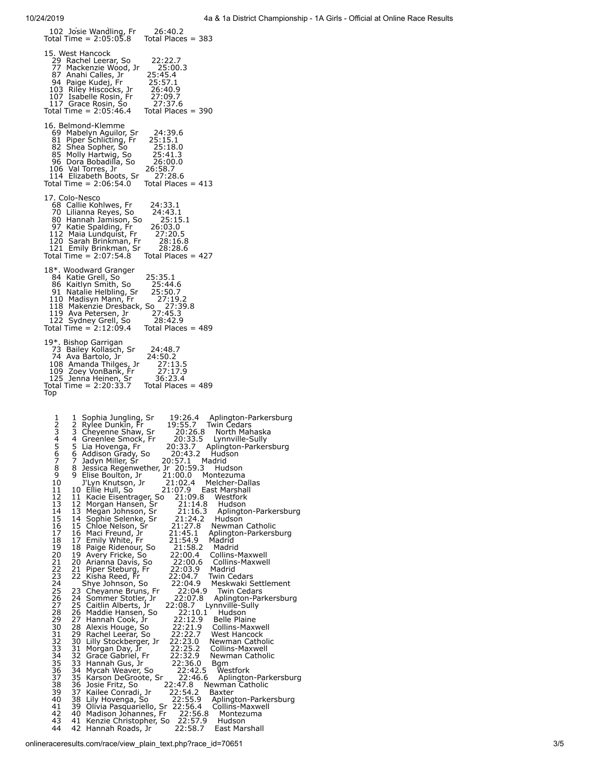<span id="page-2-0"></span>y , 102 Josie Wandling, Fr 26:40.2 Total Time = 2:05:05.8 Total Places = 383 15. West Hancock 29 Rachel Leerar, So 22:22.7 77 Mackenzie Wood, Jr 25:00.3 87 Anahi Calles, Jr 25:45.4 94 Paige Kudej, Fr 25:57.1 103 Riley Hiscocks, Jr 26:40.9 107 Isabelle Rosin, Fr 27:09.7 117 Grace Rosin, So 27:37.6 103 Riley Hiscocks, Jr 20:40.9<br>103 Riley Hiscocks, Jr 26:40.9<br>107 Isabelle Rosin, Fr 27:09.7<br>117 Grace Rosin, So 27:37.6<br>Total Time = 2:05:46.4 Total Places = 390 16. Belmond-Klemme 69 Mabelyn Aguilor, Sr 24:39.6 81 Piper Schlicting, Fr 25:15.1 82 Shea Sopher, So 25:18.0 82 Shea Sopher, So 25:18.0<br>85 Molly Hartwig, So 25:41.3<br>96 Dora Bobadilla, So 26:00.0 96 Dora Bobadilla, So 26:00.0<br>106 Val Torres, Jr 26:58.7<br>114 Elizabeth Boots, Sr \_ 27:28.6 106 Val Torres, Jr 26:58.7 114 Elizabeth Boots, Sr 27:28.6 Total Time = 2:06:54.0 Total Places = 413 17. Colo-Nesco 68 Callie Kohlwes, Fr 24:33.1 70 Lilianna Reyes, So 24:43.1 80 Hannah Jamison, So 25:15.1 97 Katie Spalding, Fr 26:03.0 112 Maia Lundquist, Fr 27:20.5 120 Sarah Brinkman, Fr 28:16.8 121 Emily Brinkman, Sr 28:28.6 Total Time = 2:07:54.8 Total Places = 427 18\*. Woodward Granger 84 Katie Grell, So 25:35.1 86 Kaitlyn Smith, So 25:44.6<br>91 Natalie Helbling, Sr 25:50.7 91 Natalie Helbling, Sr 110 Madisyn Mann, Fr 27:19.2 118 Makenzie Dresback, So 27:39.8 119 Ava Petersen, Jr 27:45.3 122 Sydney Grell, So 28:42.9 Total Time = 2:12:09.4 Total Places = 489 19\*. Bishop Garrigan<br>
73 Bailey Kollasch, Sr 24:48.7<br>
74 Ava Bartolo, Jr 24:50.2<br>
108 Amanda Thilges, Jr 27:13.5<br>
109 Zoey VonBank, Fr 27:17.9<br>
125 Jenna Heinen, Sr 36:23.4 19 . Usinop Garrigan<br>
73 Bailey Kollasch, Sr 24:48.7<br>
74 Ava Bartolo, Jr 24:50.2<br>
108 Amanda Thilges, Jr 27:13.5<br>
109 Zoey VonBank, Fr 27:17.9<br>
125 Jenna Heinen, Sr 36:23.4<br>
Total Time = 2:20:33.7 Total Places = 489 [Top](#page-0-0) 1 1 Sophia Jungling, Sr 19:26.4 Aplington-Parkersburg<br>2 2 Rylee Dunkin, Fr 19:55.7 Twin Cedars 2 2 Rylee Dunkin, Fr 19:55.7 Twin Cedars<br>3 3 Cheyenne Shaw, Sr 20:26.8 North Mahaska<br>4 Greenlee Smock, Fr 20:33.5 Lynnville-Sully<br>5 5 Lia Hovenga, Fr 20:33.7 Aplington-Parkersburg<br>6 6 Addison Grady, So 20:43.2 Hudson 7 Jadyn Miller, Sr 20:57.1 Madrid<br>
8 8 Jessica Regenwether, Jr 20:59.3 Hudson<br>
9 Elise Boulton, Jr 21:00.0 Montezuma<br>
10 J'Lyn Knutson, Jr 21:02.4 Melcher-Dallas<br>
11 10 Ellie Hull, So 21:07.9 East Marshall<br>
12 11 Kacie Eis 24<br>
25 23 Cheyanne Bruns, Fr 22:04.9 Meskwaki Settlement<br>
26 24 Sommer Stolter, Jr 22:07.8 Aplington-Parkersburg<br>
27 25 Caitlin Alberts, Jr 22:07.8 Aplington-Parkersburg<br>
27 25 Caitlin Alberts, Jr 22:07.8 Aplington-Parkers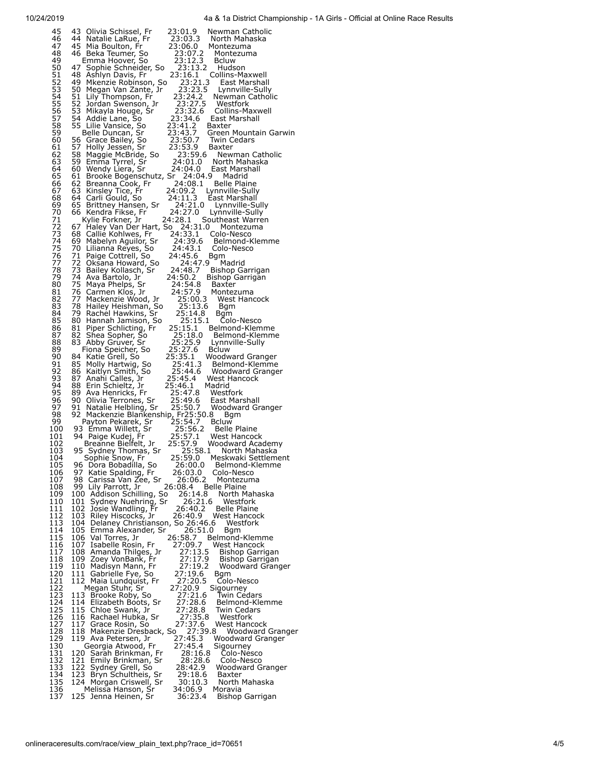| 45                         | 43 Olivia Schissel, Fr<br>23:01.9<br>Newman Catholic                                                                                                                                                                                                                                                                                                                  |  |
|----------------------------|-----------------------------------------------------------------------------------------------------------------------------------------------------------------------------------------------------------------------------------------------------------------------------------------------------------------------------------------------------------------------|--|
| 46<br>47                   | 23:03.3 North Mahaska<br>44 Natalie LaRue, Fr<br>23:06.0<br>Montezuma                                                                                                                                                                                                                                                                                                 |  |
| 48<br>49                   | 45 Mia Boulton, Fr<br>46 Beka Teumer, So<br>Emma Hoover, So<br>23:07.2<br>Montezuma<br>23:12.3<br><b>Bcluw</b>                                                                                                                                                                                                                                                        |  |
| 50                         | 23:13.2<br>Hudson                                                                                                                                                                                                                                                                                                                                                     |  |
| 51<br>52<br>53<br>54<br>54 | 47 Sopnie Summer<br>48 Ashlyn Davis, Fr<br>49 Mkenzie Robinson, So<br>50 Megan Van Zante, Jr<br>23:16.1 Collins-Maxwell<br>23:21.3 East Marshal<br>East Marshall                                                                                                                                                                                                      |  |
|                            | 23:23.5<br>Lynnville-Sully                                                                                                                                                                                                                                                                                                                                            |  |
|                            | 50 Megan Van Zante, Jr<br>51 Lily Thompson, Fr<br>52 Jordan Swenson, Jr<br>53 Mikayla Houge, Sr<br>23:24.2 Newman Catholic<br>23:27.5 Westfork                                                                                                                                                                                                                        |  |
| 55<br>56                   | 23:32.6<br>Collins-Maxwell                                                                                                                                                                                                                                                                                                                                            |  |
| $\frac{57}{58}$            | 33 Pulayia Diouge, S.<br>55 Lilie Vansice, So<br>55 Lilie Vansice, So<br>66 Grace Bailey, So<br>57 Holly Jessen, Sr<br>58 Maggie McBride, So<br>68 Gramma Tyrrel, Sr<br>23:34.6 East Marshall<br>Baxter                                                                                                                                                               |  |
| 59<br>60                   | 23:41.2<br>23:43.7<br>23:50.7<br>Green Mountain Garwin<br>Twin Cedars                                                                                                                                                                                                                                                                                                 |  |
| 61                         | 23:53.9 B<br>Baxter                                                                                                                                                                                                                                                                                                                                                   |  |
| 62<br>63                   | Newman Catholic<br>North Mahaska                                                                                                                                                                                                                                                                                                                                      |  |
| 64                         | 59 Emma Tyrrel, Sr<br>60 Wendy Liera, Sr<br>24:01.0<br>24:04.0<br>East Marshall                                                                                                                                                                                                                                                                                       |  |
| 65<br>66                   | 61 Brooke Bogenschutz, Sr 24:04.9<br>Madrid<br>62 Breanna Cook, Fr<br>24:08.1<br><b>Belle Plaine</b>                                                                                                                                                                                                                                                                  |  |
| 67<br>68                   | 63 Kinsley Tice, Fr<br>64 Carli Gould, So<br>24:09.2 Lynnville-Sully<br>24:11.3 East Marshall                                                                                                                                                                                                                                                                         |  |
| 69                         | 65 Brittney Hansen, Sr<br>24:21.0<br>Lynnville-Sully                                                                                                                                                                                                                                                                                                                  |  |
| 70<br>71                   | 24:27.0<br>66 Kendra Fikse, Fr<br>Lynnville-Sully<br>24:28.1 Southeast Warren<br>Kylie Forkner, Jr                                                                                                                                                                                                                                                                    |  |
| 72<br>73                   | 67 Haley Van Der Hart, So 24:31.0<br>Montezuma<br>68 Callié Kohlwes, Fr<br>24:33.1<br>Colo-Nesco                                                                                                                                                                                                                                                                      |  |
| 74                         | 24:39.6 Belmond-Klemme<br>69 Mabelyn Aguilor, Sr                                                                                                                                                                                                                                                                                                                      |  |
| 75<br>76                   | 70 Lilianna Reyes, So<br>24:43.1 Colo-Nesco<br>24:45.6 Bam<br>71 Paige Cottrell, So<br>24:45.6<br>Bgm                                                                                                                                                                                                                                                                 |  |
| 77                         | 72 Oksana Howard, So<br>73 Bailey Kollasch, Sr<br>24:47.9<br>Madrid                                                                                                                                                                                                                                                                                                   |  |
| 78<br>79                   | 24:48.7<br>Bishop Garrigan<br>24:50.2<br>Bishop Garrigan                                                                                                                                                                                                                                                                                                              |  |
| 80<br>81                   | 24:54.8<br>Baxter                                                                                                                                                                                                                                                                                                                                                     |  |
| 82                         | 74 Ava Bartolo, Jr.<br>75 Maya Phelps, Sr.<br>75 Maya Phelps, Sr.<br>77 Mackenzie Wood, Jr.<br>78 Hailey Heishman, So.<br>79 Rachel Hawkins, Sr.<br>80 Hanneh Jamison.<br>24:57.9 Baxter<br>24:57.9 Montezuma<br>25:00.3 West Hancock                                                                                                                                 |  |
| 83<br>84                   | 25:13.6<br>25:14.8<br>Bgm<br>Bgm                                                                                                                                                                                                                                                                                                                                      |  |
| 85                         | 80 Hannah Jamison, So<br>25:15.1<br>Čolo-Nesco                                                                                                                                                                                                                                                                                                                        |  |
| 86<br>87                   | 25:15.1<br>81 Piper Schlicting, Fr<br>82 Shea Sopher, So<br>83 Abby Gruver, Sr<br>Belmond-Klemme<br>25:18.0 Belmond-Klemme                                                                                                                                                                                                                                            |  |
| 88<br>89                   | 25:25.9<br>Lynnville-Sully<br>Fiona Speicher, So                                                                                                                                                                                                                                                                                                                      |  |
| 90                         | 25:25.2<br>25:27.6 Bcluw<br>25:35.1 Woodward Granger<br>25:41.3 Belmond-Klemme<br><sup>25:44.6</sup> Woodward Granger<br>11.14.6 Woodward Granger<br>84 Katie Grell, So                                                                                                                                                                                               |  |
| 91<br>92                   | 85 Molly Hartwig, So<br>86 Kaitlyn Smith, So                                                                                                                                                                                                                                                                                                                          |  |
| 93<br>94                   | 87 Anahi Calles, Jr<br>88 Erin Schieltz, Jr<br>25:45.4 West Hancock<br>25:46.1 Madrid                                                                                                                                                                                                                                                                                 |  |
| 95                         |                                                                                                                                                                                                                                                                                                                                                                       |  |
| 96<br>97                   |                                                                                                                                                                                                                                                                                                                                                                       |  |
| 98                         |                                                                                                                                                                                                                                                                                                                                                                       |  |
| 99<br>100                  |                                                                                                                                                                                                                                                                                                                                                                       |  |
| 101                        |                                                                                                                                                                                                                                                                                                                                                                       |  |
|                            |                                                                                                                                                                                                                                                                                                                                                                       |  |
| 102<br>103                 | Franchise Helbling, Sr. 25:49.6 East Marshall<br>92 Mackenzie Blankenship, Fr25:50.7 Woodward Granger<br>Payton Pekarek, Sr. 25:56.8 Bgm<br>93 Emma Willett, Sr. 25:56.2 Bellw<br>94 Paige Kudej, Fr. 25:56.2 Belle Plaine<br>94 Paige K<br>25:57.1 West Hancock<br>25:57.9 Woodward Academy<br>Breanne Bielfelt, Jr<br>25:58.1 North Mahaska<br>95 Sydney Thomas, Sr |  |
| 104                        | 25:59.0<br>Meskwaki Settlement<br>Sophie Snow, Fr<br>26:00.0                                                                                                                                                                                                                                                                                                          |  |
| 105<br>106                 | 96 Dora Bobadílla, So<br>Belmond-Klemme<br>97<br>26:03.0<br>Katie Spalding, Fr<br>Colo-Nesco                                                                                                                                                                                                                                                                          |  |
| 107<br>108                 | 98 Carissa Van Zee, Sr<br>26:06.2<br>Montezuma<br>99 Lily Parrott, Jr.<br>26:08.4<br><b>Belle Plaine</b>                                                                                                                                                                                                                                                              |  |
| 109                        | 100 Addison Schilling, So<br>26:14.8<br>North Mahaska                                                                                                                                                                                                                                                                                                                 |  |
| 110<br>111                 | 101<br>Sydney Nuehring, Sr<br>26:21.6<br>Westfork<br>102<br>Josie Wandling, Fr<br>26:40.2<br><b>Belle Plaine</b>                                                                                                                                                                                                                                                      |  |
| 112<br>113                 | 103<br>26:40.9<br>West Hancock<br>Riley Hiscocks, Jr<br>Westfork<br>104                                                                                                                                                                                                                                                                                               |  |
| 114                        | Delaney Christianson, So 26:46.6<br>105<br>26:51.0<br>Emma Alexander, Sr<br>Bgm                                                                                                                                                                                                                                                                                       |  |
| 115<br>116                 | 26:58.7<br>106<br>Val Torres, Jr<br>Belmond-Klemme<br>27:09.7<br><b>West Hancock</b><br>107<br>Isabelle Rosin, Fr                                                                                                                                                                                                                                                     |  |
| 117<br>118                 | 108<br>27:13.5<br>Amanda Thilges, Jr<br>Bishop Garrigan<br>109<br>Bishop Garrigan                                                                                                                                                                                                                                                                                     |  |
| 119                        | 27:17.9<br>Zoey VonBank, Fr<br>27:19.2<br>110<br>Madisyn Mann, Fr<br>Woodward Granger                                                                                                                                                                                                                                                                                 |  |
| 120<br>121                 | 27:19.6<br>111<br>Gabrielle Fye, So<br>Bgm<br>27:20.5<br>112 Maia Lundquist, Fr<br>Colo-Nesco                                                                                                                                                                                                                                                                         |  |
| 122                        | 27:20.9<br>Megan Stuhr, Sr<br>Sigourney                                                                                                                                                                                                                                                                                                                               |  |
| 123<br>124                 | 27:21.6<br>113 Brooke Roby, So<br>Twin Cedars<br>27:28.6<br>114<br>Elizabeth Boots, Sr<br>Belmond-Klemme                                                                                                                                                                                                                                                              |  |
| 125<br>126                 | 115 Chloe Swank, Jr<br>27:28.8<br>Twin Cedars<br>27:35.8<br>116<br>Westfork<br>Rachael Hubka, Sr                                                                                                                                                                                                                                                                      |  |
| 127                        | 27:37.6<br>West Hancock<br>117<br>Grace Rosin, So                                                                                                                                                                                                                                                                                                                     |  |
| 128<br>129                 | 118<br>Makenzie Dresback, So<br>Woodward Granger<br>119 Ava Petersen, Jr<br>Woodward Granger                                                                                                                                                                                                                                                                          |  |
| 130                        | ) 27:39.8<br>27:45.3  V<br>27:45.4  S<br>Sigourney<br>Georgia Atwood, Fr<br>28:16.8<br>Colo-Nesco                                                                                                                                                                                                                                                                     |  |
| 131<br>132                 | 120 Sarah Brinkman, Fr<br>121<br>28:28.6<br>Emily Brinkman, Sr<br>Colo-Nesco                                                                                                                                                                                                                                                                                          |  |
| 133<br>134                 | 122<br>28:42.9<br>Sydney Grell, So<br>Woodward Granger<br>29:18.6<br>Baxter                                                                                                                                                                                                                                                                                           |  |
| 135<br>136                 | 123 Bryn Schultheis, Sr<br>124 Morgan Criswell, Sr<br>30:10.3<br>North Mahaska<br>Melissa Hanson, Sr<br>34:06.9<br>Moravia<br>125 Jenna Heinen, Sr                                                                                                                                                                                                                    |  |